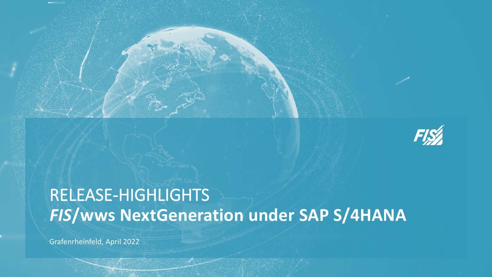

# RELEASE-HIGHLIGHTS *FIS***/wws NextGeneration under SAP S/4HANA**

Grafenrheinfeld, April 2022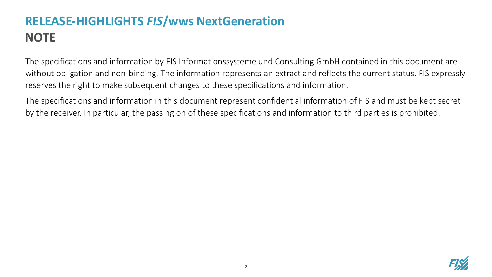# **RELEASE-HIGHLIGHTS** *FIS***/wws NextGeneration NOTE**

The specifications and information by FIS Informationssysteme und Consulting GmbH contained in this document are without obligation and non-binding. The information represents an extract and reflects the current status. FIS expressly reserves the right to make subsequent changes to these specifications and information.

The specifications and information in this document represent confidential information of FIS and must be kept secret by the receiver. In particular, the passing on of these specifications and information to third parties is prohibited.

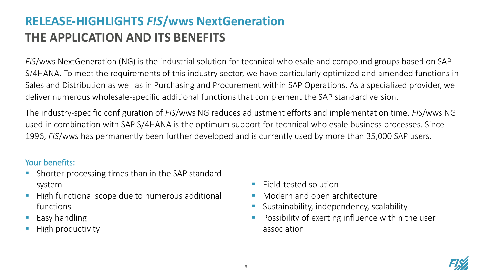## **RELEASE-HIGHLIGHTS** *FIS***/wws NextGeneration THE APPLICATION AND ITS BENEFITS**

*FIS*/wws NextGeneration (NG) is the industrial solution for technical wholesale and compound groups based on SAP S/4HANA. To meet the requirements of this industry sector, we have particularly optimized and amended functions in Sales and Distribution as well as in Purchasing and Procurement within SAP Operations. As a specialized provider, we deliver numerous wholesale-specific additional functions that complement the SAP standard version.

The industry-specific configuration of *FIS*/wws NG reduces adjustment efforts and implementation time. *FIS*/wws NG used in combination with SAP S/4HANA is the optimum support for technical wholesale business processes. Since 1996, *FIS*/wws has permanently been further developed and is currently used by more than 35,000 SAP users.

#### Your benefits:

- Shorter processing times than in the SAP standard system
- High functional scope due to numerous additional functions
- Easy handling
- High productivity
- Field-tested solution
- Modern and open architecture
- Sustainability, independency, scalability
- Possibility of exerting influence within the user association

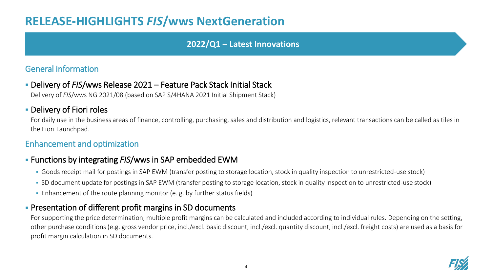### **RELEASE-HIGHLIGHTS** *FIS***/wws NextGeneration**

#### **2022/Q1 – Latest Innovations**

#### General information

▪ Delivery of *FIS*/wws Release 2021 – Feature Pack Stack Initial Stack

Delivery of *FIS*/wws NG 2021/08 (based on SAP S/4HANA 2021 Initial Shipment Stack)

#### **• Delivery of Fiori roles**

For daily use in the business areas of finance, controlling, purchasing, sales and distribution and logistics, relevant transactions can be called as tiles in the Fiori Launchpad.

#### Enhancement and optimization

#### ▪ Functions by integrating *FIS*/wws in SAP embedded EWM

- Goods receipt mail for postings in SAP EWM (transfer posting to storage location, stock in quality inspection to unrestricted-use stock)
- SD document update for postings in SAP EWM (transfer posting to storage location, stock in quality inspection to unrestricted-use stock)
- Enhancement of the route planning monitor (e. g. by further status fields)

#### **• Presentation of different profit margins in SD documents**

For supporting the price determination, multiple profit margins can be calculated and included according to individual rules. Depending on the setting, other purchase conditions (e.g. gross vendor price, incl./excl. basic discount, incl./excl. quantity discount, incl./excl. freight costs) are used as a basis for profit margin calculation in SD documents.

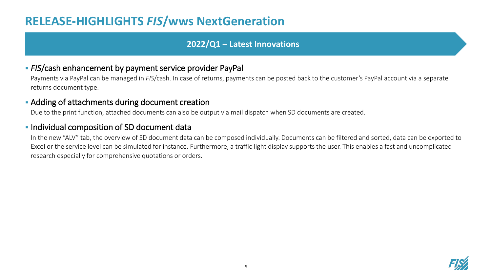### **RELEASE-HIGHLIGHTS** *FIS***/wws NextGeneration**

#### **2022/Q1 – Latest Innovations**

#### ▪ *FIS*/cash enhancement by payment service provider PayPal

Payments via PayPal can be managed in *FIS*/cash. In case of returns, payments can be posted back to the customer's PayPal account via a separate returns document type.

#### **EXECT** Adding of attachments during document creation

Due to the print function, attached documents can also be output via mail dispatch when SD documents are created.

#### **.** Individual composition of SD document data

In the new "ALV" tab, the overview of SD document data can be composed individually. Documents can be filtered and sorted, data can be exported to Excel or the service level can be simulated for instance. Furthermore, a traffic light display supports the user. This enables a fast and uncomplicated research especially for comprehensive quotations or orders.

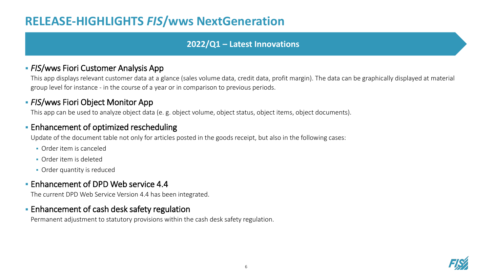### **RELEASE-HIGHLIGHTS** *FIS***/wws NextGeneration**

#### **2022/Q1 – Latest Innovations**

#### **• FIS/wws Fiori Customer Analysis App**

This app displays relevant customer data at a glance (sales volume data, credit data, profit margin). The data can be graphically displayed at material group level for instance - in the course of a year or in comparison to previous periods.

#### **- FIS/wws Fiori Object Monitor App**

This app can be used to analyze object data (e. g. object volume, object status, object items, object documents).

#### **Enhancement of optimized rescheduling**

Update of the document table not only for articles posted in the goods receipt, but also in the following cases:

- Order item is canceled
- Order item is deleted
- **Order quantity is reduced**

#### **Enhancement of DPD Web service 4.4**

The current DPD Web Service Version 4.4 has been integrated.

#### **Enhancement of cash desk safety regulation**

Permanent adjustment to statutory provisions within the cash desk safety regulation.